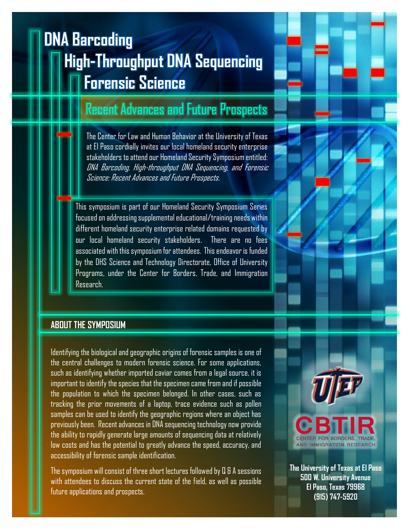## **High-Throughput DNA Sequencing Forensic Science DNA Barcoding**

## Recent Advances and Future Prospects

The Center for Law and Human Behavior at the University of Texas at El Paso cordially invites our local homeland security enterprise stakeholders to attend our Homeland Security Symposium entitled: DNA Barcoding, High-throughput DNA Sequencing, and Forensic Science: Recent Advances and Future Prospects.

This symposium is part of our Homeland Security Symposium Series focused on addressing supplemental educational/training needs within different homeland security enterprise related domains requested by our local homeland security stakeholders. There are no fees associated with this symposium for attendees. This endeavor is funded by the DHS Science and Technology Directorate, Office of University Programs, under the Center for Borders, Trade, and Immigration Research.

#### **ABOUT THE SYMPOSIUM**

Identifying the biological and geographic origins of forensic samples is one of the central challenges to modern forensic science. For some applications, such as identifying whether imported caviar comes from a legal source, it is important to identify the species that the specimen came from and if possible the population to which the specimen belonged. In other cases, such as tracking the prior movements of a laptop, trace evidence such as pollen samples can be used to identify the geographic regions where an object has previously been. Recent advances in DNA sequencing technology now provide the ability to rapidly generate large amounts of sequencing data at relatively low costs and has the potential to greatly advance the speed, accuracy, and accessibility of forensic sample identification.

The symposium will consist of three short lectures followed by Q & A sessions with attendees to discuss the current state of the field, as well as possible future applications and prospects.



**The University of Texas at El Paso 500 W. University Avenue El Paso, Texas 79968 (915) 747-5920**